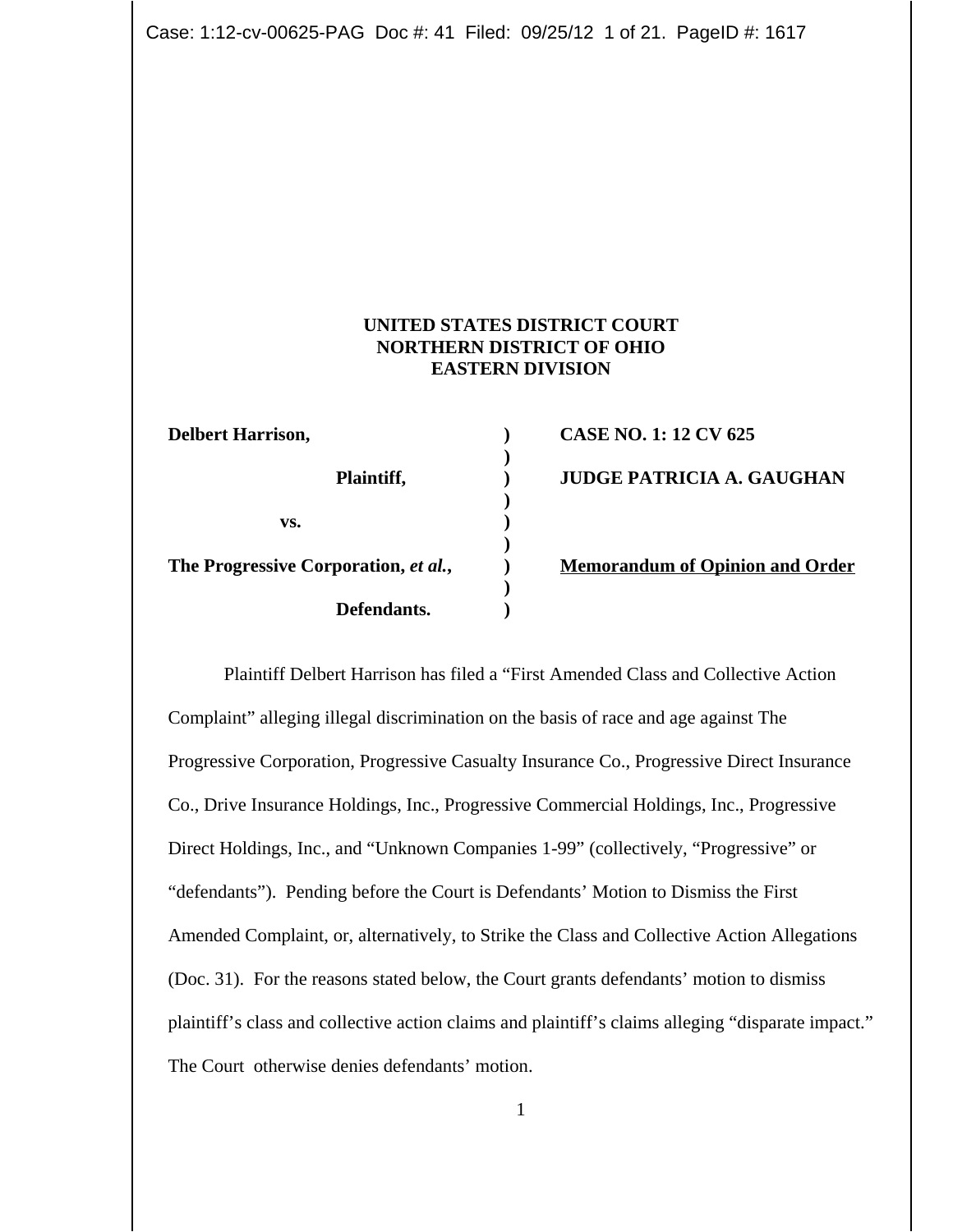Case: 1:12-cv-00625-PAG Doc #: 41 Filed: 09/25/12 1 of 21. PageID #: 1617

# **UNITED STATES DISTRICT COURT NORTHERN DISTRICT OF OHIO EASTERN DIVISION**

**)**

**)**

**)**

**)**

| <b>Delbert Harrison,</b>             |  |
|--------------------------------------|--|
| Plaintiff,                           |  |
| VS.                                  |  |
| The Progressive Corporation, et al., |  |
| Defendants.                          |  |

**Delay CASE NO. 1: 12 CV 625 Planned BE PATRICIA A. GAUGHAN The Progressive Corporation Corporation and Order** 

Plaintiff Delbert Harrison has filed a "First Amended Class and Collective Action Complaint" alleging illegal discrimination on the basis of race and age against The Progressive Corporation, Progressive Casualty Insurance Co., Progressive Direct Insurance Co., Drive Insurance Holdings, Inc., Progressive Commercial Holdings, Inc., Progressive Direct Holdings, Inc., and "Unknown Companies 1-99" (collectively, "Progressive" or "defendants"). Pending before the Court is Defendants' Motion to Dismiss the First Amended Complaint, or, alternatively, to Strike the Class and Collective Action Allegations (Doc. 31). For the reasons stated below, the Court grants defendants' motion to dismiss plaintiff's class and collective action claims and plaintiff's claims alleging "disparate impact." The Court otherwise denies defendants' motion.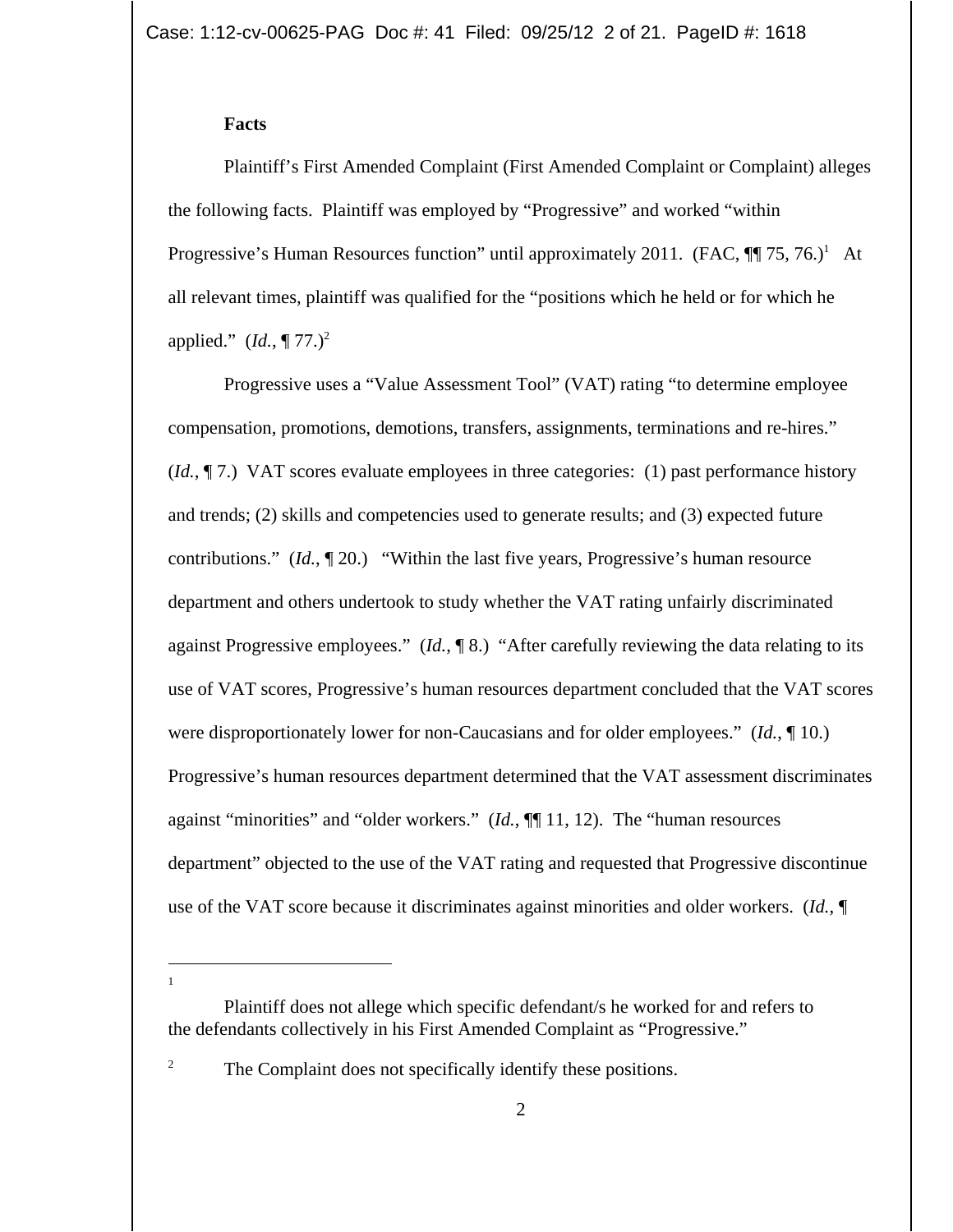#### **Facts**

Plaintiff's First Amended Complaint (First Amended Complaint or Complaint) alleges the following facts. Plaintiff was employed by "Progressive" and worked "within Progressive's Human Resources function" until approximately 2011. (FAC,  $\P\P$  75, 76.)<sup>1</sup> At all relevant times, plaintiff was qualified for the "positions which he held or for which he applied."  $(Id., \P 77.)^2$ 

Progressive uses a "Value Assessment Tool" (VAT) rating "to determine employee compensation, promotions, demotions, transfers, assignments, terminations and re-hires." (*Id.*, ¶ 7.) VAT scores evaluate employees in three categories: (1) past performance history and trends; (2) skills and competencies used to generate results; and (3) expected future contributions." (*Id.*, ¶ 20.) "Within the last five years, Progressive's human resource department and others undertook to study whether the VAT rating unfairly discriminated against Progressive employees." (*Id.*, ¶ 8.) "After carefully reviewing the data relating to its use of VAT scores, Progressive's human resources department concluded that the VAT scores were disproportionately lower for non-Caucasians and for older employees." (*Id.*, ¶ 10.) Progressive's human resources department determined that the VAT assessment discriminates against "minorities" and "older workers." (*Id.*, ¶¶ 11, 12). The "human resources department" objected to the use of the VAT rating and requested that Progressive discontinue use of the VAT score because it discriminates against minorities and older workers. (*Id.*, ¶

1

<sup>2</sup> The Complaint does not specifically identify these positions.

Plaintiff does not allege which specific defendant/s he worked for and refers to the defendants collectively in his First Amended Complaint as "Progressive."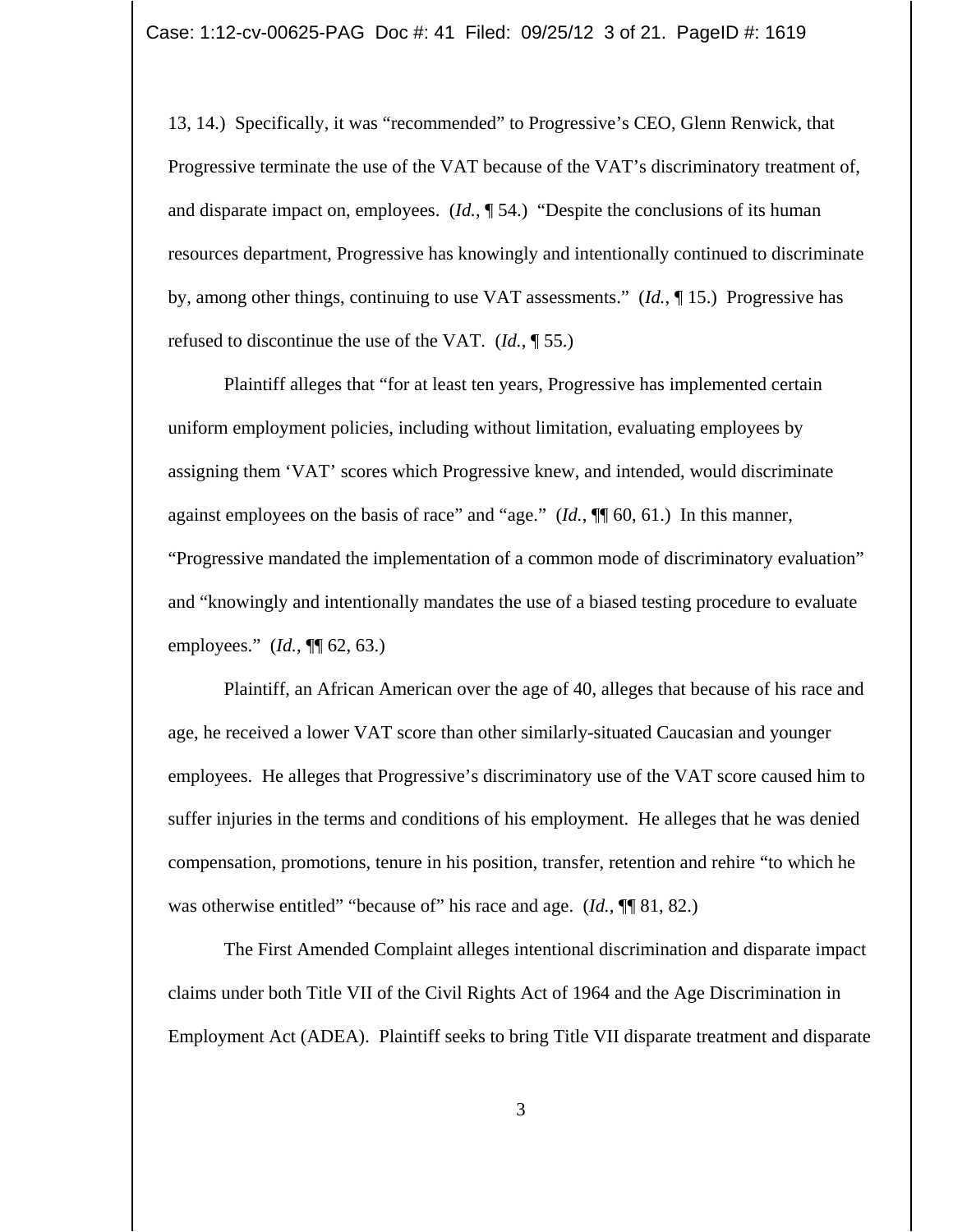13, 14.) Specifically, it was "recommended" to Progressive's CEO, Glenn Renwick, that Progressive terminate the use of the VAT because of the VAT's discriminatory treatment of, and disparate impact on, employees. (*Id.*, ¶ 54.) "Despite the conclusions of its human resources department, Progressive has knowingly and intentionally continued to discriminate by, among other things, continuing to use VAT assessments." (*Id.*, ¶ 15.) Progressive has refused to discontinue the use of the VAT. (*Id.*, ¶ 55.)

Plaintiff alleges that "for at least ten years, Progressive has implemented certain uniform employment policies, including without limitation, evaluating employees by assigning them 'VAT' scores which Progressive knew, and intended, would discriminate against employees on the basis of race" and "age." (*Id.*, ¶¶ 60, 61.) In this manner, "Progressive mandated the implementation of a common mode of discriminatory evaluation" and "knowingly and intentionally mandates the use of a biased testing procedure to evaluate employees." (*Id.*, ¶¶ 62, 63.)

Plaintiff, an African American over the age of 40, alleges that because of his race and age, he received a lower VAT score than other similarly-situated Caucasian and younger employees. He alleges that Progressive's discriminatory use of the VAT score caused him to suffer injuries in the terms and conditions of his employment. He alleges that he was denied compensation, promotions, tenure in his position, transfer, retention and rehire "to which he was otherwise entitled" "because of" his race and age. (*Id.*, **¶** 81, 82.)

The First Amended Complaint alleges intentional discrimination and disparate impact claims under both Title VII of the Civil Rights Act of 1964 and the Age Discrimination in Employment Act (ADEA). Plaintiff seeks to bring Title VII disparate treatment and disparate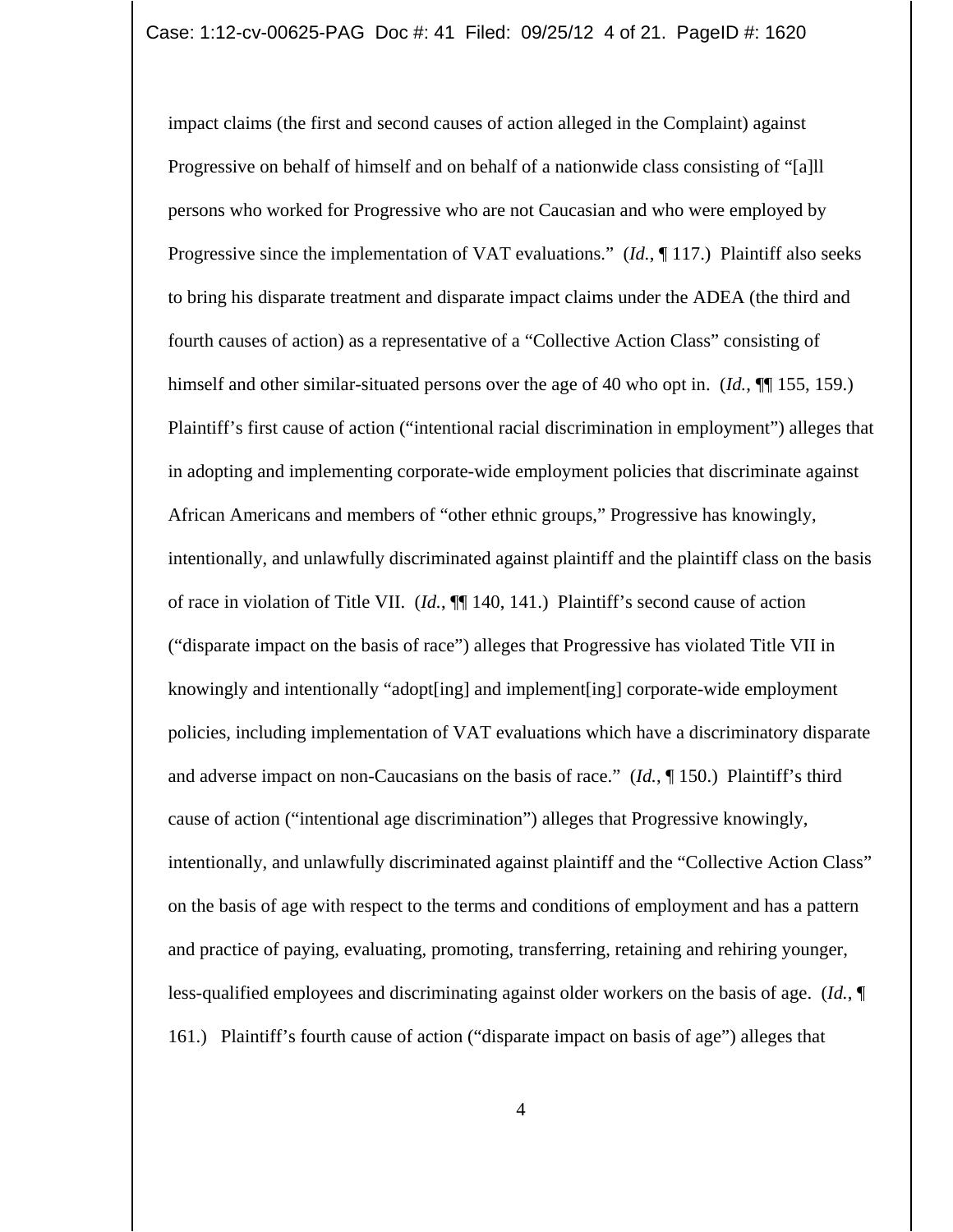impact claims (the first and second causes of action alleged in the Complaint) against Progressive on behalf of himself and on behalf of a nationwide class consisting of "[a]ll persons who worked for Progressive who are not Caucasian and who were employed by Progressive since the implementation of VAT evaluations." (*Id.*, 117.) Plaintiff also seeks to bring his disparate treatment and disparate impact claims under the ADEA (the third and fourth causes of action) as a representative of a "Collective Action Class" consisting of himself and other similar-situated persons over the age of 40 who opt in. (*Id.*, ¶¶ 155, 159.) Plaintiff's first cause of action ("intentional racial discrimination in employment") alleges that in adopting and implementing corporate-wide employment policies that discriminate against African Americans and members of "other ethnic groups," Progressive has knowingly, intentionally, and unlawfully discriminated against plaintiff and the plaintiff class on the basis of race in violation of Title VII. (*Id.*, ¶¶ 140, 141.) Plaintiff's second cause of action ("disparate impact on the basis of race") alleges that Progressive has violated Title VII in knowingly and intentionally "adopt[ing] and implement[ing] corporate-wide employment policies, including implementation of VAT evaluations which have a discriminatory disparate and adverse impact on non-Caucasians on the basis of race." (*Id.*, ¶ 150.) Plaintiff's third cause of action ("intentional age discrimination") alleges that Progressive knowingly, intentionally, and unlawfully discriminated against plaintiff and the "Collective Action Class" on the basis of age with respect to the terms and conditions of employment and has a pattern and practice of paying, evaluating, promoting, transferring, retaining and rehiring younger, less-qualified employees and discriminating against older workers on the basis of age. (*Id.*, ¶ 161.) Plaintiff's fourth cause of action ("disparate impact on basis of age") alleges that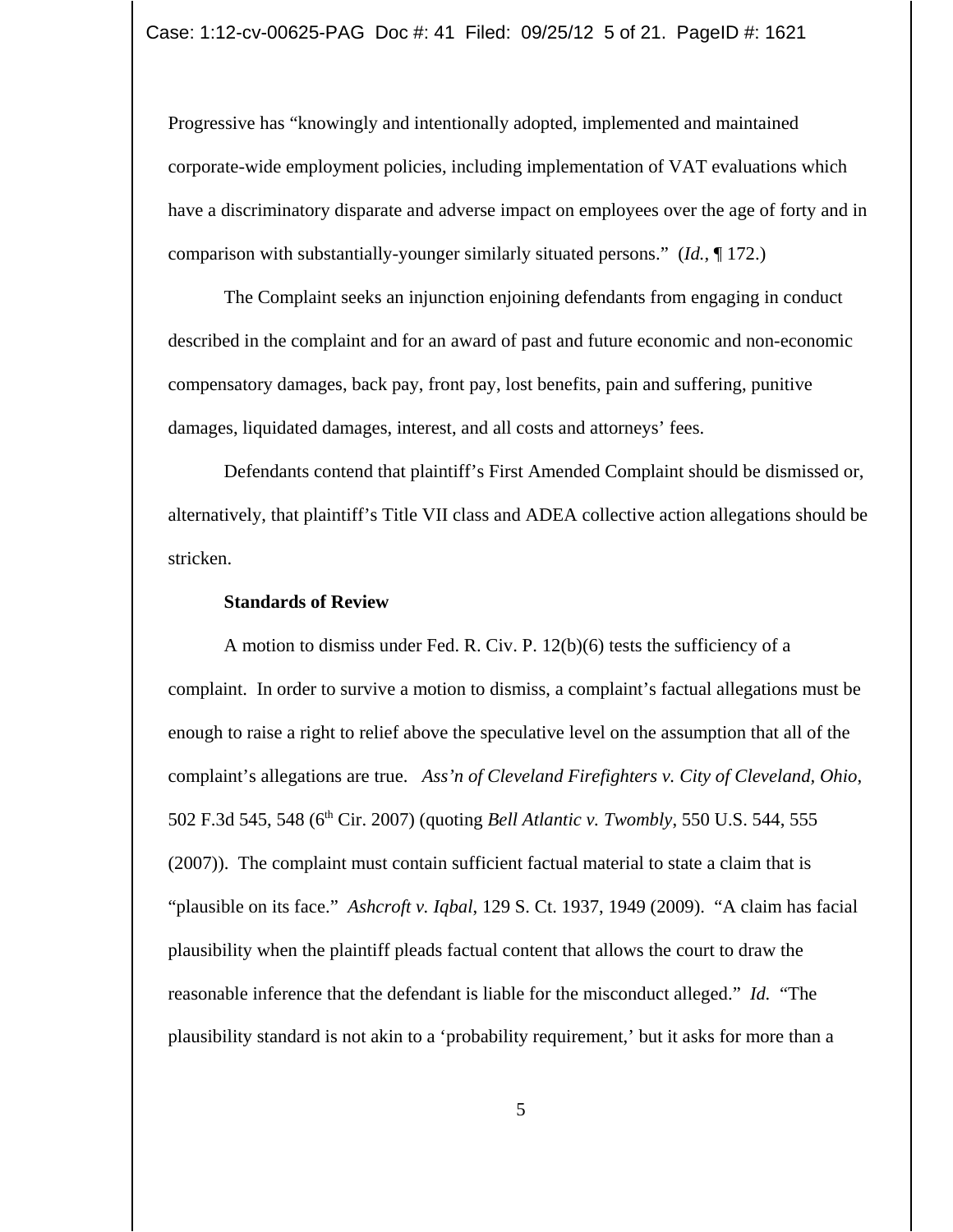Progressive has "knowingly and intentionally adopted, implemented and maintained corporate-wide employment policies, including implementation of VAT evaluations which have a discriminatory disparate and adverse impact on employees over the age of forty and in comparison with substantially-younger similarly situated persons." (*Id.*, ¶ 172.)

The Complaint seeks an injunction enjoining defendants from engaging in conduct described in the complaint and for an award of past and future economic and non-economic compensatory damages, back pay, front pay, lost benefits, pain and suffering, punitive damages, liquidated damages, interest, and all costs and attorneys' fees.

Defendants contend that plaintiff's First Amended Complaint should be dismissed or, alternatively, that plaintiff's Title VII class and ADEA collective action allegations should be stricken.

## **Standards of Review**

A motion to dismiss under Fed. R. Civ. P. 12(b)(6) tests the sufficiency of a complaint. In order to survive a motion to dismiss, a complaint's factual allegations must be enough to raise a right to relief above the speculative level on the assumption that all of the complaint's allegations are true. *Ass'n of Cleveland Firefighters v. City of Cleveland, Ohio*, 502 F.3d 545, 548 (6th Cir. 2007) (quoting *Bell Atlantic v. Twombly*, 550 U.S. 544, 555 (2007)). The complaint must contain sufficient factual material to state a claim that is "plausible on its face." *Ashcroft v. Iqbal*, 129 S. Ct. 1937, 1949 (2009). "A claim has facial plausibility when the plaintiff pleads factual content that allows the court to draw the reasonable inference that the defendant is liable for the misconduct alleged." *Id.* "The plausibility standard is not akin to a 'probability requirement,' but it asks for more than a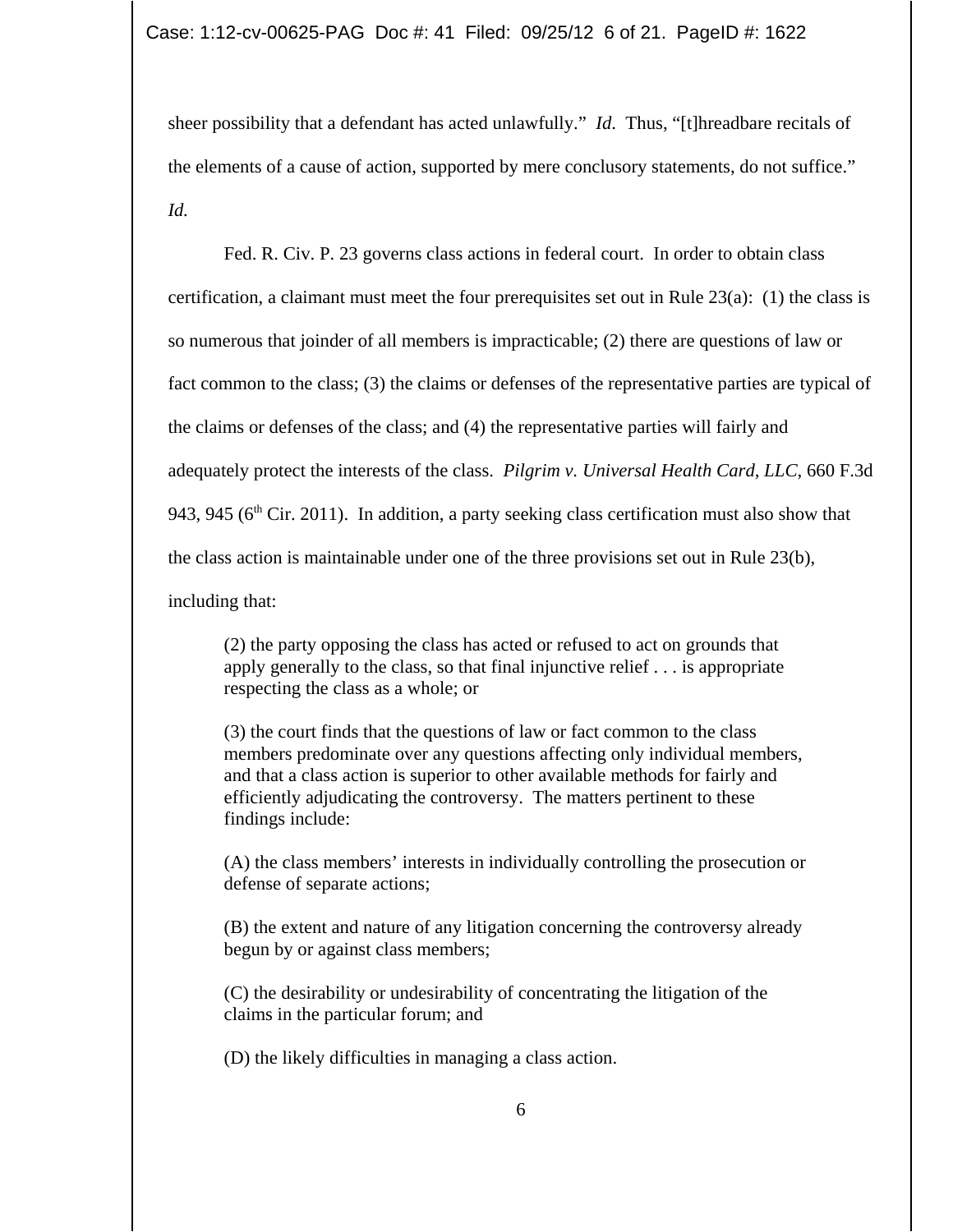sheer possibility that a defendant has acted unlawfully." *Id*. Thus, "[t]hreadbare recitals of the elements of a cause of action, supported by mere conclusory statements, do not suffice." *Id.*

Fed. R. Civ. P. 23 governs class actions in federal court. In order to obtain class certification, a claimant must meet the four prerequisites set out in Rule 23(a): (1) the class is so numerous that joinder of all members is impracticable; (2) there are questions of law or fact common to the class; (3) the claims or defenses of the representative parties are typical of the claims or defenses of the class; and (4) the representative parties will fairly and adequately protect the interests of the class. *Pilgrim v. Universal Health Card, LLC*, 660 F.3d 943, 945 ( $6<sup>th</sup>$  Cir. 2011). In addition, a party seeking class certification must also show that the class action is maintainable under one of the three provisions set out in Rule 23(b), including that:

(2) the party opposing the class has acted or refused to act on grounds that apply generally to the class, so that final injunctive relief . . . is appropriate respecting the class as a whole; or

(3) the court finds that the questions of law or fact common to the class members predominate over any questions affecting only individual members, and that a class action is superior to other available methods for fairly and efficiently adjudicating the controversy. The matters pertinent to these findings include:

(A) the class members' interests in individually controlling the prosecution or defense of separate actions;

(B) the extent and nature of any litigation concerning the controversy already begun by or against class members;

(C) the desirability or undesirability of concentrating the litigation of the claims in the particular forum; and

(D) the likely difficulties in managing a class action.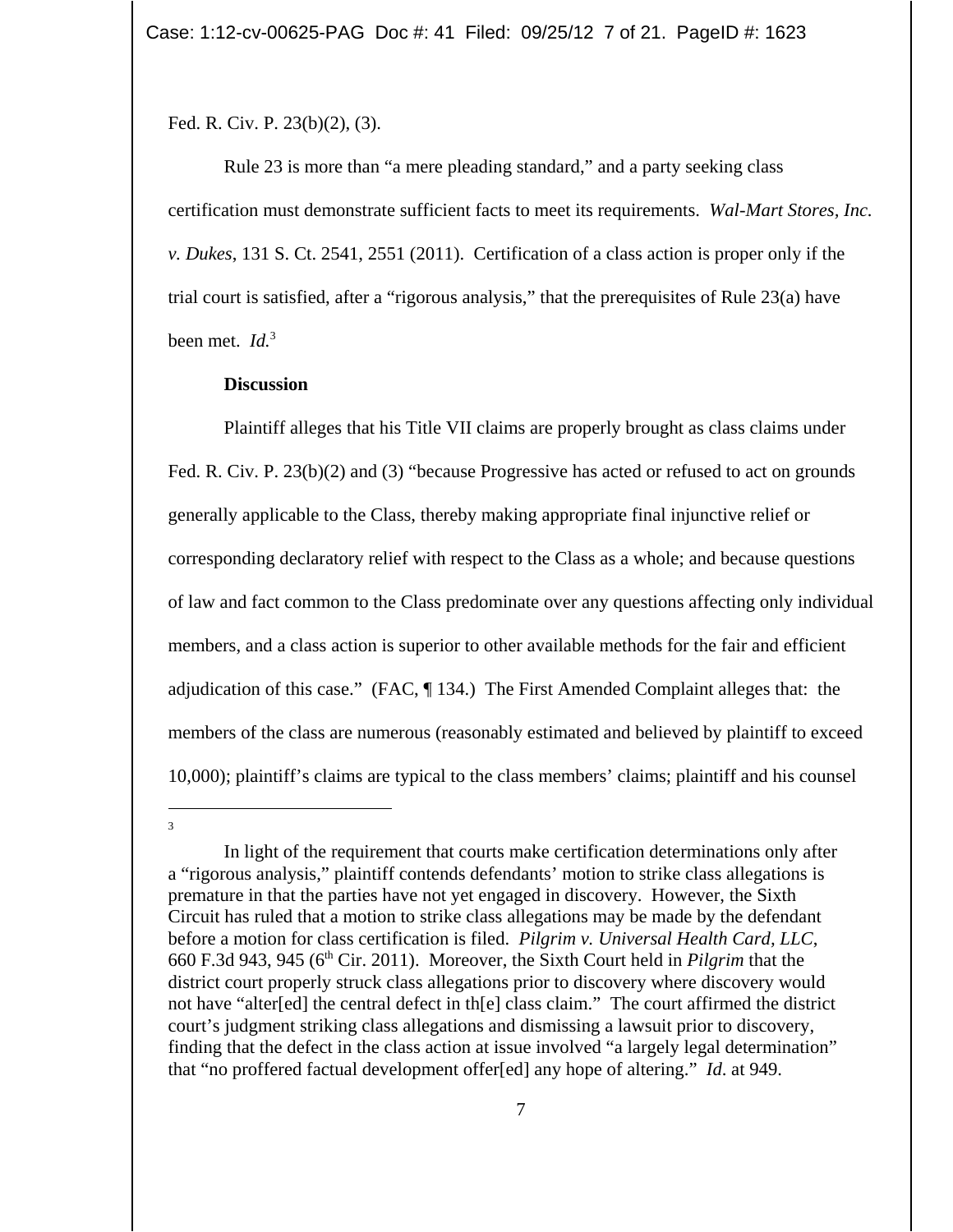Fed. R. Civ. P. 23(b)(2), (3).

Rule 23 is more than "a mere pleading standard," and a party seeking class certification must demonstrate sufficient facts to meet its requirements. *Wal-Mart Stores, Inc. v. Dukes*, 131 S. Ct. 2541, 2551 (2011). Certification of a class action is proper only if the trial court is satisfied, after a "rigorous analysis," that the prerequisites of Rule 23(a) have been met. *Id.*<sup>3</sup>

### **Discussion**

3

Plaintiff alleges that his Title VII claims are properly brought as class claims under Fed. R. Civ. P. 23(b)(2) and (3) "because Progressive has acted or refused to act on grounds generally applicable to the Class, thereby making appropriate final injunctive relief or corresponding declaratory relief with respect to the Class as a whole; and because questions of law and fact common to the Class predominate over any questions affecting only individual members, and a class action is superior to other available methods for the fair and efficient adjudication of this case." (FAC, ¶ 134.) The First Amended Complaint alleges that: the members of the class are numerous (reasonably estimated and believed by plaintiff to exceed 10,000); plaintiff's claims are typical to the class members' claims; plaintiff and his counsel

In light of the requirement that courts make certification determinations only after a "rigorous analysis," plaintiff contends defendants' motion to strike class allegations is premature in that the parties have not yet engaged in discovery. However, the Sixth Circuit has ruled that a motion to strike class allegations may be made by the defendant before a motion for class certification is filed. *Pilgrim v. Universal Health Card, LLC*, 660 F.3d 943, 945 (6th Cir. 2011). Moreover, the Sixth Court held in *Pilgrim* that the district court properly struck class allegations prior to discovery where discovery would not have "alter[ed] the central defect in th[e] class claim." The court affirmed the district court's judgment striking class allegations and dismissing a lawsuit prior to discovery, finding that the defect in the class action at issue involved "a largely legal determination" that "no proffered factual development offer[ed] any hope of altering." *Id*. at 949.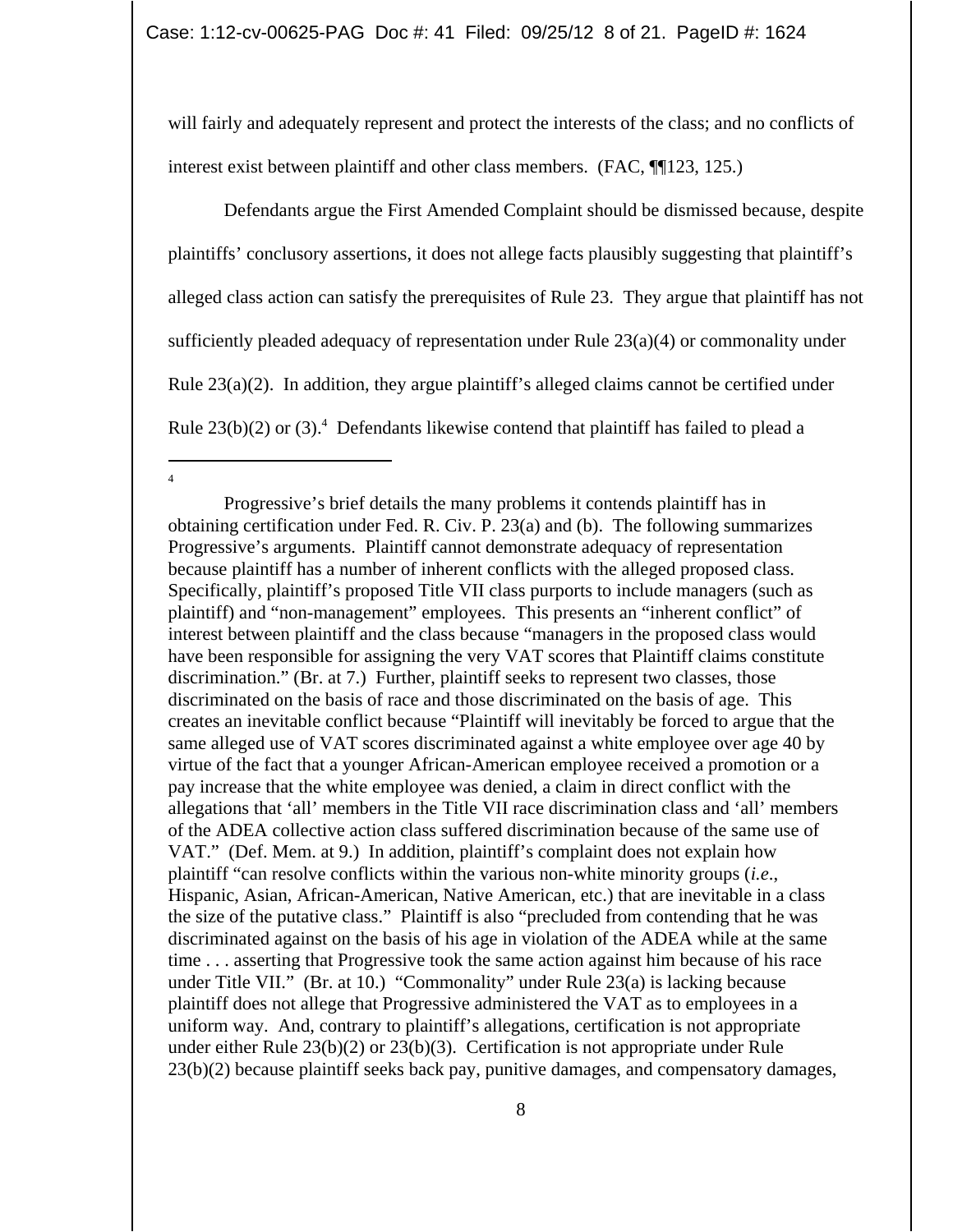will fairly and adequately represent and protect the interests of the class; and no conflicts of interest exist between plaintiff and other class members. (FAC, ¶¶123, 125.)

Defendants argue the First Amended Complaint should be dismissed because, despite plaintiffs' conclusory assertions, it does not allege facts plausibly suggesting that plaintiff's alleged class action can satisfy the prerequisites of Rule 23. They argue that plaintiff has not sufficiently pleaded adequacy of representation under Rule 23(a)(4) or commonality under Rule 23(a)(2). In addition, they argue plaintiff's alleged claims cannot be certified under Rule  $23(b)(2)$  or  $(3)$ .<sup>4</sup> Defendants likewise contend that plaintiff has failed to plead a

<sup>4</sup>

Progressive's brief details the many problems it contends plaintiff has in obtaining certification under Fed. R. Civ. P. 23(a) and (b). The following summarizes Progressive's arguments. Plaintiff cannot demonstrate adequacy of representation because plaintiff has a number of inherent conflicts with the alleged proposed class. Specifically, plaintiff's proposed Title VII class purports to include managers (such as plaintiff) and "non-management" employees. This presents an "inherent conflict" of interest between plaintiff and the class because "managers in the proposed class would have been responsible for assigning the very VAT scores that Plaintiff claims constitute discrimination." (Br. at 7.) Further, plaintiff seeks to represent two classes, those discriminated on the basis of race and those discriminated on the basis of age. This creates an inevitable conflict because "Plaintiff will inevitably be forced to argue that the same alleged use of VAT scores discriminated against a white employee over age 40 by virtue of the fact that a younger African-American employee received a promotion or a pay increase that the white employee was denied, a claim in direct conflict with the allegations that 'all' members in the Title VII race discrimination class and 'all' members of the ADEA collective action class suffered discrimination because of the same use of VAT." (Def. Mem. at 9.) In addition, plaintiff's complaint does not explain how plaintiff "can resolve conflicts within the various non-white minority groups (*i.e*., Hispanic, Asian, African-American, Native American, etc.) that are inevitable in a class the size of the putative class." Plaintiff is also "precluded from contending that he was discriminated against on the basis of his age in violation of the ADEA while at the same time . . . asserting that Progressive took the same action against him because of his race under Title VII." (Br. at 10.) "Commonality" under Rule 23(a) is lacking because plaintiff does not allege that Progressive administered the VAT as to employees in a uniform way. And, contrary to plaintiff's allegations, certification is not appropriate under either Rule  $23(b)(2)$  or  $23(b)(3)$ . Certification is not appropriate under Rule 23(b)(2) because plaintiff seeks back pay, punitive damages, and compensatory damages,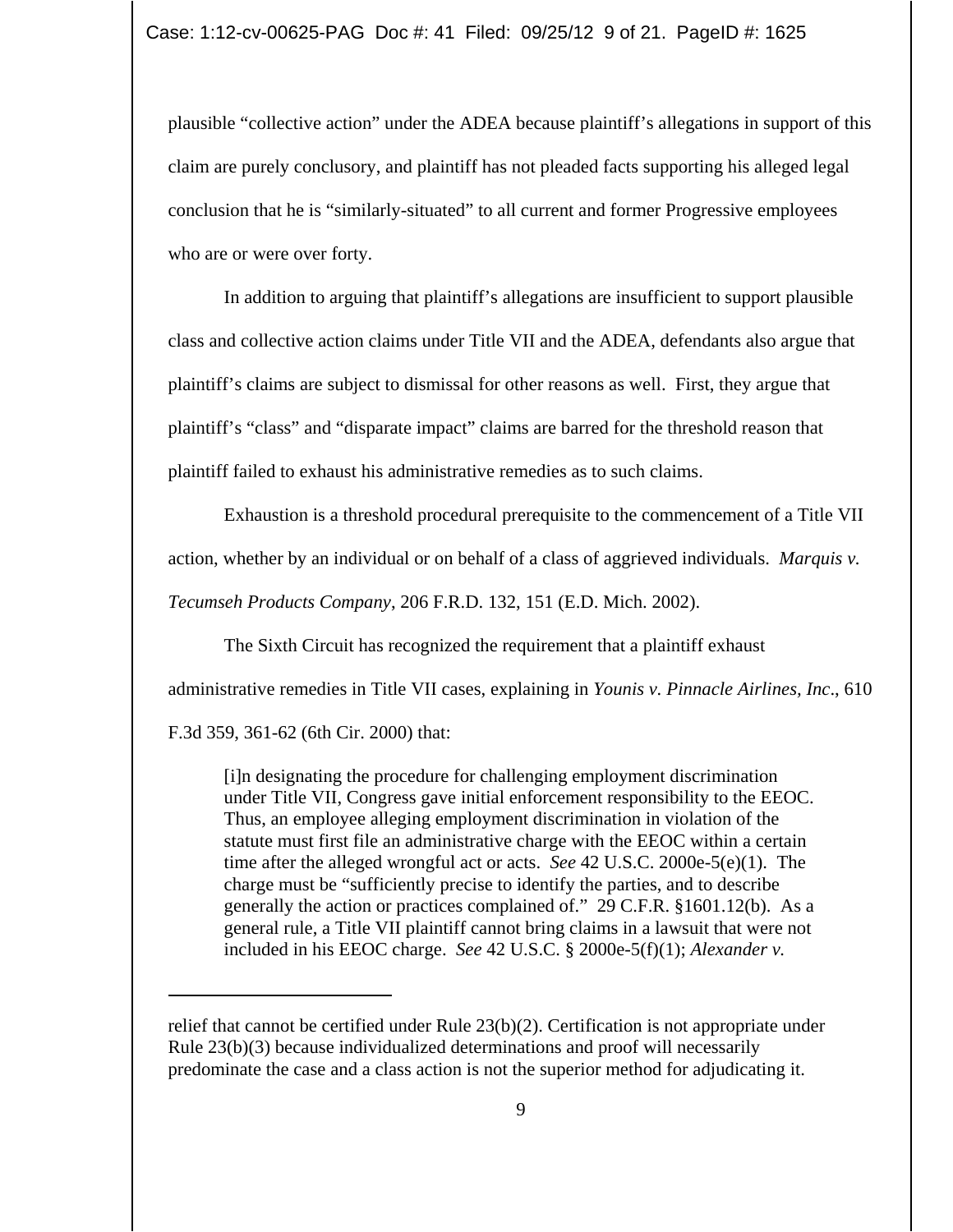plausible "collective action" under the ADEA because plaintiff's allegations in support of this claim are purely conclusory, and plaintiff has not pleaded facts supporting his alleged legal conclusion that he is "similarly-situated" to all current and former Progressive employees who are or were over forty.

In addition to arguing that plaintiff's allegations are insufficient to support plausible class and collective action claims under Title VII and the ADEA, defendants also argue that plaintiff's claims are subject to dismissal for other reasons as well. First, they argue that plaintiff's "class" and "disparate impact" claims are barred for the threshold reason that plaintiff failed to exhaust his administrative remedies as to such claims.

Exhaustion is a threshold procedural prerequisite to the commencement of a Title VII action, whether by an individual or on behalf of a class of aggrieved individuals. *Marquis v. Tecumseh Products Company*, 206 F.R.D. 132, 151 (E.D. Mich. 2002).

The Sixth Circuit has recognized the requirement that a plaintiff exhaust

administrative remedies in Title VII cases, explaining in *Younis v. Pinnacle Airlines, Inc*., 610

F.3d 359, 361-62 (6th Cir. 2000) that:

[i]n designating the procedure for challenging employment discrimination under Title VII, Congress gave initial enforcement responsibility to the EEOC. Thus, an employee alleging employment discrimination in violation of the statute must first file an administrative charge with the EEOC within a certain time after the alleged wrongful act or acts. *See* 42 U.S.C. 2000e-5(e)(1). The charge must be "sufficiently precise to identify the parties, and to describe generally the action or practices complained of." 29 C.F.R. §1601.12(b). As a general rule, a Title VII plaintiff cannot bring claims in a lawsuit that were not included in his EEOC charge. *See* 42 U.S.C. § 2000e-5(f)(1); *Alexander v.*

relief that cannot be certified under Rule 23(b)(2). Certification is not appropriate under Rule 23(b)(3) because individualized determinations and proof will necessarily predominate the case and a class action is not the superior method for adjudicating it.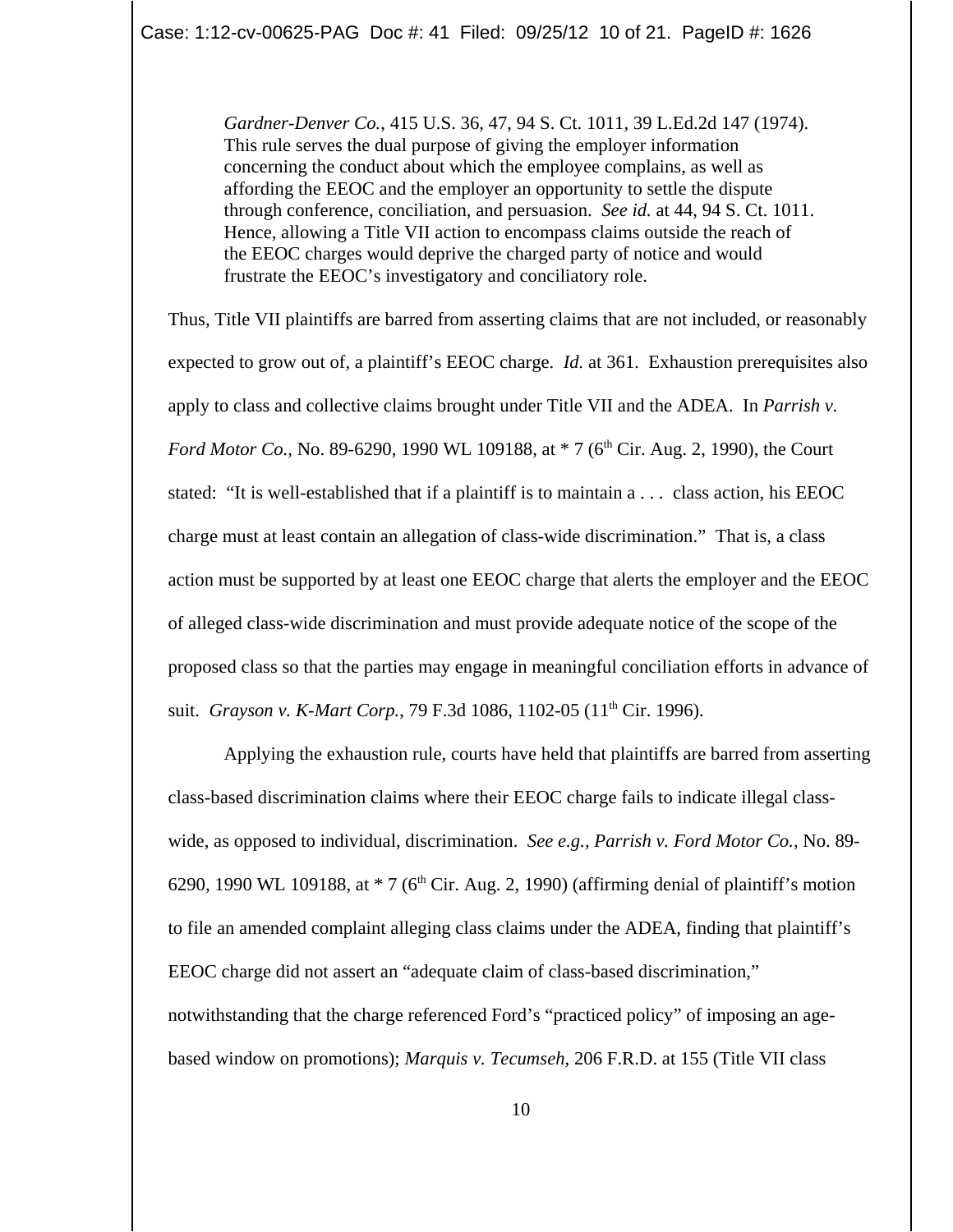*Gardner-Denver Co.*, 415 U.S. 36, 47, 94 S. Ct. 1011, 39 L.Ed.2d 147 (1974). This rule serves the dual purpose of giving the employer information concerning the conduct about which the employee complains, as well as affording the EEOC and the employer an opportunity to settle the dispute through conference, conciliation, and persuasion. *See id.* at 44, 94 S. Ct. 1011. Hence, allowing a Title VII action to encompass claims outside the reach of the EEOC charges would deprive the charged party of notice and would frustrate the EEOC's investigatory and conciliatory role.

Thus, Title VII plaintiffs are barred from asserting claims that are not included, or reasonably expected to grow out of, a plaintiff's EEOC charge. *Id.* at 361. Exhaustion prerequisites also apply to class and collective claims brought under Title VII and the ADEA. In *Parrish v. Ford Motor Co.*, No. 89-6290, 1990 WL 109188, at  $*$  7 (6<sup>th</sup> Cir. Aug. 2, 1990), the Court stated: "It is well-established that if a plaintiff is to maintain a . . . class action, his EEOC charge must at least contain an allegation of class-wide discrimination." That is, a class action must be supported by at least one EEOC charge that alerts the employer and the EEOC of alleged class-wide discrimination and must provide adequate notice of the scope of the proposed class so that the parties may engage in meaningful conciliation efforts in advance of suit. *Grayson v. K-Mart Corp.*, 79 F.3d 1086, 1102-05 (11<sup>th</sup> Cir. 1996).

Applying the exhaustion rule, courts have held that plaintiffs are barred from asserting class-based discrimination claims where their EEOC charge fails to indicate illegal classwide, as opposed to individual, discrimination. *See e.g., Parrish v. Ford Motor Co.*, No. 89- 6290, 1990 WL 109188, at  $*$  7 (6<sup>th</sup> Cir. Aug. 2, 1990) (affirming denial of plaintiff's motion to file an amended complaint alleging class claims under the ADEA, finding that plaintiff's EEOC charge did not assert an "adequate claim of class-based discrimination," notwithstanding that the charge referenced Ford's "practiced policy" of imposing an agebased window on promotions); *Marquis v. Tecumseh*, 206 F.R.D. at 155 (Title VII class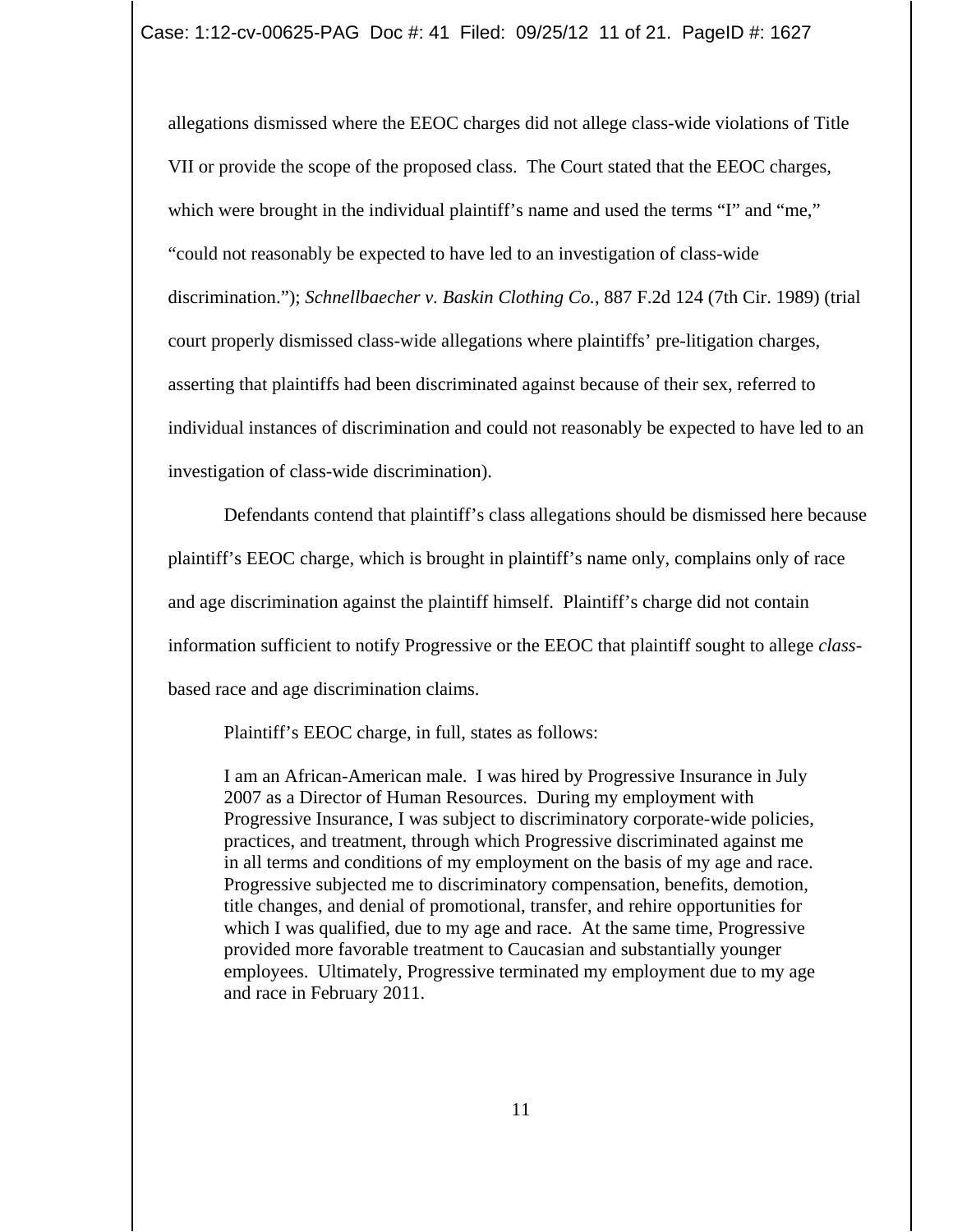allegations dismissed where the EEOC charges did not allege class-wide violations of Title VII or provide the scope of the proposed class. The Court stated that the EEOC charges, which were brought in the individual plaintiff's name and used the terms "I" and "me," "could not reasonably be expected to have led to an investigation of class-wide discrimination."); *Schnellbaecher v. Baskin Clothing Co.*, 887 F.2d 124 (7th Cir. 1989) (trial court properly dismissed class-wide allegations where plaintiffs' pre-litigation charges, asserting that plaintiffs had been discriminated against because of their sex, referred to individual instances of discrimination and could not reasonably be expected to have led to an investigation of class-wide discrimination).

Defendants contend that plaintiff's class allegations should be dismissed here because plaintiff's EEOC charge, which is brought in plaintiff's name only, complains only of race and age discrimination against the plaintiff himself. Plaintiff's charge did not contain information sufficient to notify Progressive or the EEOC that plaintiff sought to allege *class*based race and age discrimination claims.

Plaintiff's EEOC charge, in full, states as follows:

I am an African-American male. I was hired by Progressive Insurance in July 2007 as a Director of Human Resources. During my employment with Progressive Insurance, I was subject to discriminatory corporate-wide policies, practices, and treatment, through which Progressive discriminated against me in all terms and conditions of my employment on the basis of my age and race. Progressive subjected me to discriminatory compensation, benefits, demotion, title changes, and denial of promotional, transfer, and rehire opportunities for which I was qualified, due to my age and race. At the same time, Progressive provided more favorable treatment to Caucasian and substantially younger employees. Ultimately, Progressive terminated my employment due to my age and race in February 2011.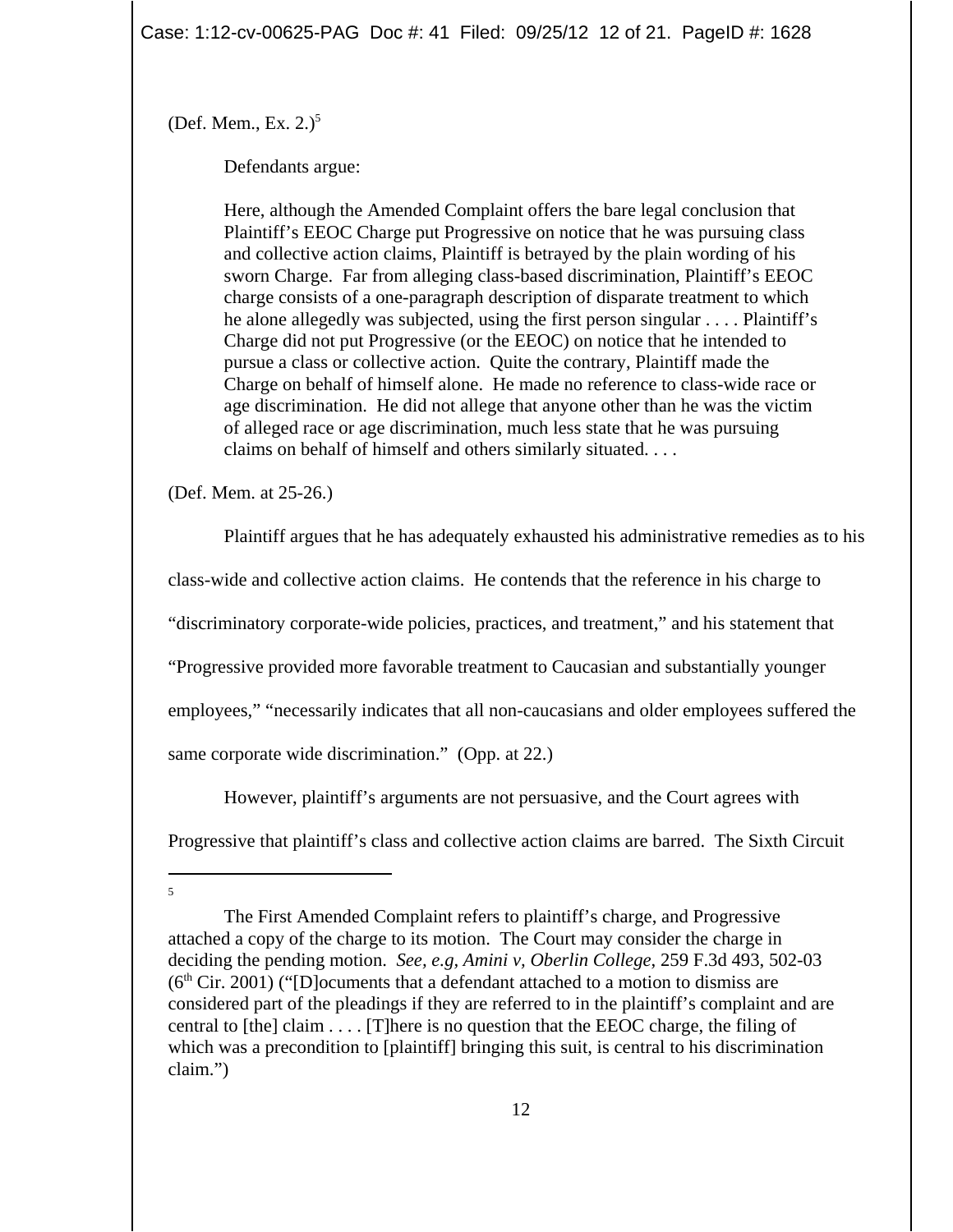Case: 1:12-cv-00625-PAG Doc #: 41 Filed: 09/25/12 12 of 21. PageID #: 1628

(Def. Mem., Ex.  $2.$ )<sup>5</sup>

Defendants argue:

Here, although the Amended Complaint offers the bare legal conclusion that Plaintiff's EEOC Charge put Progressive on notice that he was pursuing class and collective action claims, Plaintiff is betrayed by the plain wording of his sworn Charge. Far from alleging class-based discrimination, Plaintiff's EEOC charge consists of a one-paragraph description of disparate treatment to which he alone allegedly was subjected, using the first person singular . . . . Plaintiff's Charge did not put Progressive (or the EEOC) on notice that he intended to pursue a class or collective action. Quite the contrary, Plaintiff made the Charge on behalf of himself alone. He made no reference to class-wide race or age discrimination. He did not allege that anyone other than he was the victim of alleged race or age discrimination, much less state that he was pursuing claims on behalf of himself and others similarly situated. . . .

(Def. Mem. at 25-26.)

Plaintiff argues that he has adequately exhausted his administrative remedies as to his class-wide and collective action claims. He contends that the reference in his charge to "discriminatory corporate-wide policies, practices, and treatment," and his statement that "Progressive provided more favorable treatment to Caucasian and substantially younger employees," "necessarily indicates that all non-caucasians and older employees suffered the same corporate wide discrimination." (Opp. at 22.)

However, plaintiff's arguments are not persuasive, and the Court agrees with

Progressive that plaintiff's class and collective action claims are barred. The Sixth Circuit

5

The First Amended Complaint refers to plaintiff's charge, and Progressive attached a copy of the charge to its motion. The Court may consider the charge in deciding the pending motion. *See, e.g, Amini v, Oberlin College*, 259 F.3d 493, 502-03  $(6<sup>th</sup> Cir. 2001)$  ("[D] ocuments that a defendant attached to a motion to dismiss are considered part of the pleadings if they are referred to in the plaintiff's complaint and are central to [the] claim  $\dots$  [T] here is no question that the EEOC charge, the filing of which was a precondition to [plaintiff] bringing this suit, is central to his discrimination claim.")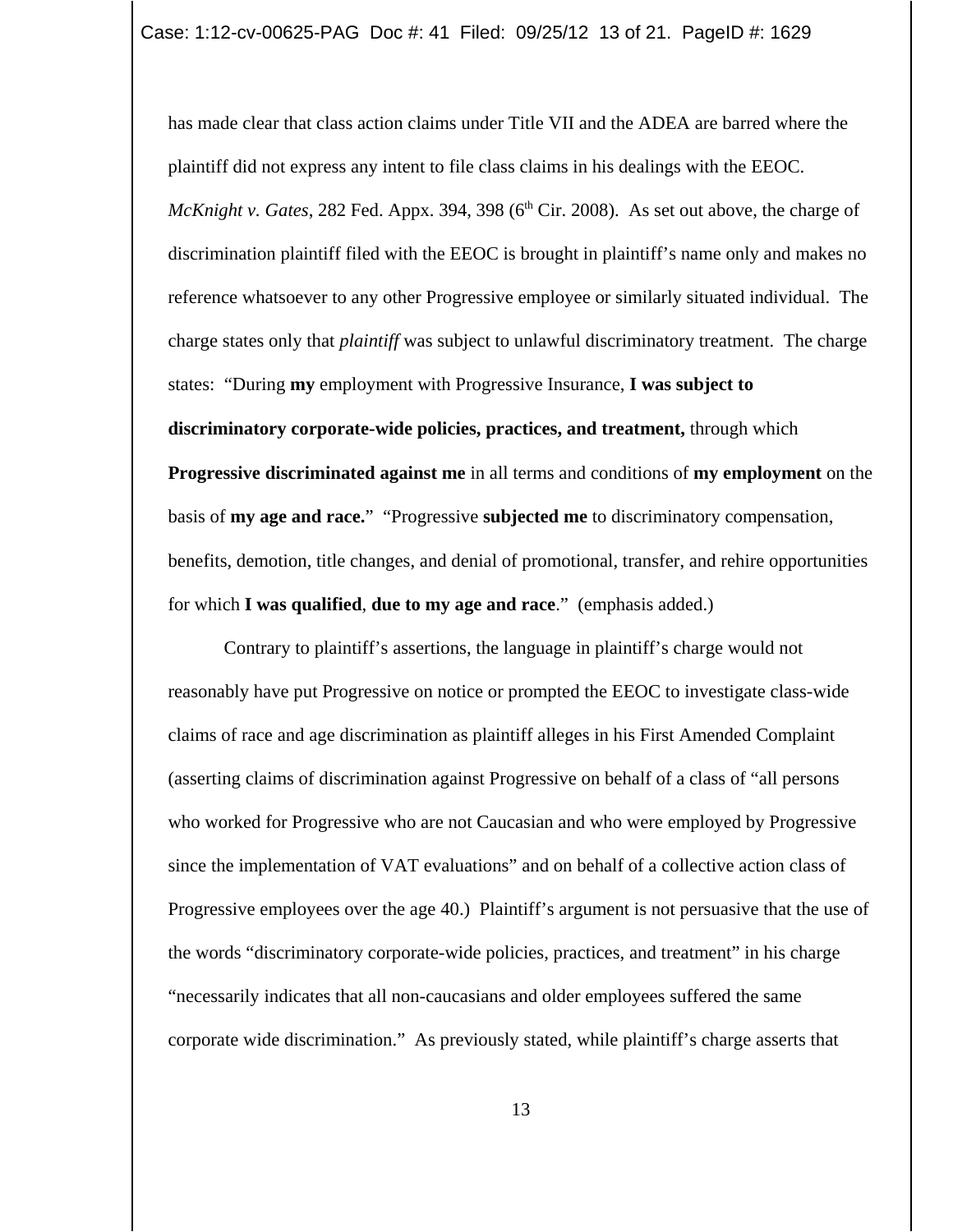has made clear that class action claims under Title VII and the ADEA are barred where the plaintiff did not express any intent to file class claims in his dealings with the EEOC. *McKnight v. Gates,* 282 Fed. Appx. 394, 398 (6<sup>th</sup> Cir. 2008). As set out above, the charge of discrimination plaintiff filed with the EEOC is brought in plaintiff's name only and makes no reference whatsoever to any other Progressive employee or similarly situated individual. The charge states only that *plaintiff* was subject to unlawful discriminatory treatment. The charge states: "During **my** employment with Progressive Insurance, **I was subject to discriminatory corporate-wide policies, practices, and treatment,** through which **Progressive discriminated against me** in all terms and conditions of **my employment** on the basis of **my age and race.**" "Progressive **subjected me** to discriminatory compensation, benefits, demotion, title changes, and denial of promotional, transfer, and rehire opportunities for which **I was qualified**, **due to my age and race**." (emphasis added.)

Contrary to plaintiff's assertions, the language in plaintiff's charge would not reasonably have put Progressive on notice or prompted the EEOC to investigate class-wide claims of race and age discrimination as plaintiff alleges in his First Amended Complaint (asserting claims of discrimination against Progressive on behalf of a class of "all persons who worked for Progressive who are not Caucasian and who were employed by Progressive since the implementation of VAT evaluations" and on behalf of a collective action class of Progressive employees over the age 40.) Plaintiff's argument is not persuasive that the use of the words "discriminatory corporate-wide policies, practices, and treatment" in his charge "necessarily indicates that all non-caucasians and older employees suffered the same corporate wide discrimination." As previously stated, while plaintiff's charge asserts that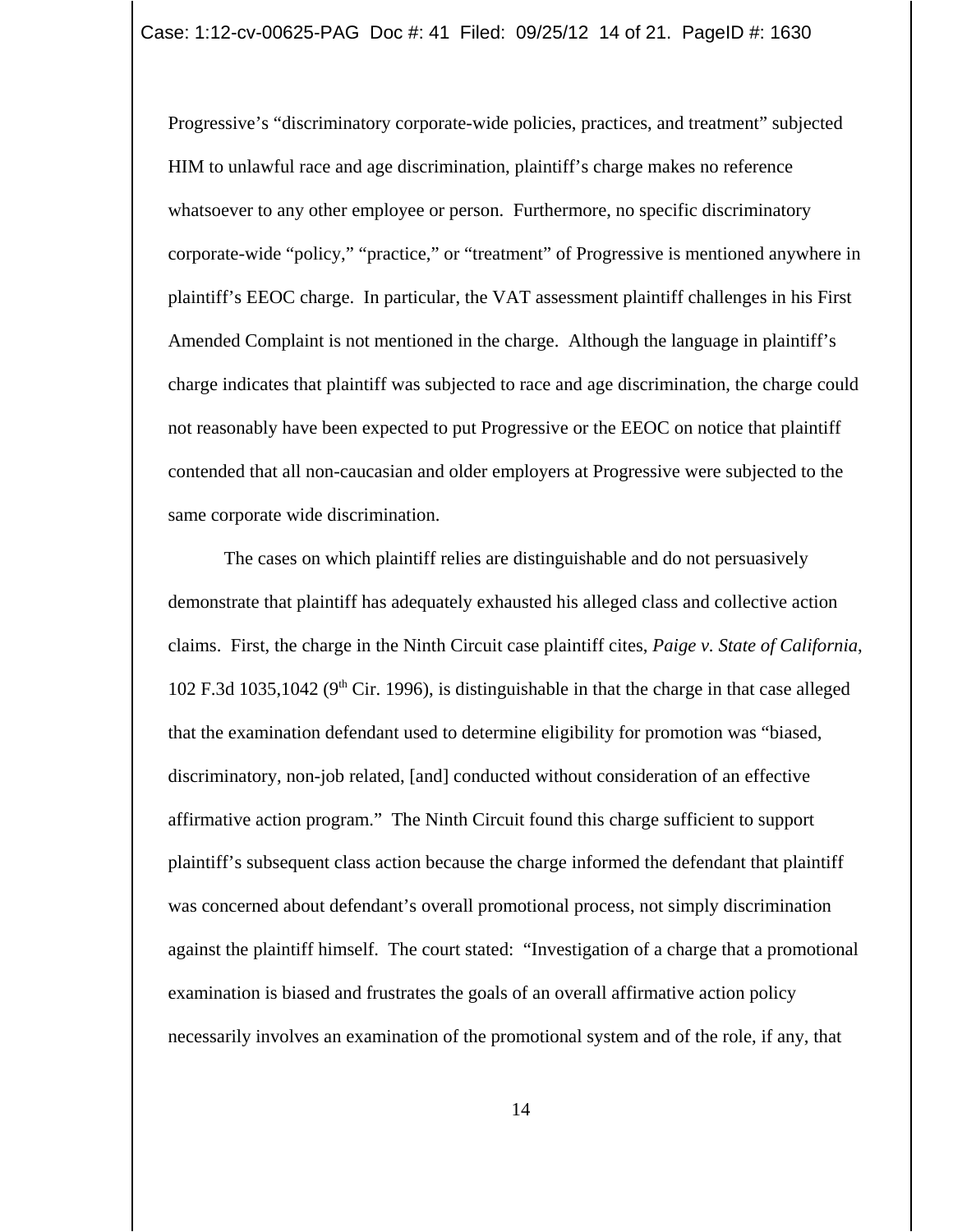Progressive's "discriminatory corporate-wide policies, practices, and treatment" subjected HIM to unlawful race and age discrimination, plaintiff's charge makes no reference whatsoever to any other employee or person. Furthermore, no specific discriminatory corporate-wide "policy," "practice," or "treatment" of Progressive is mentioned anywhere in plaintiff's EEOC charge. In particular, the VAT assessment plaintiff challenges in his First Amended Complaint is not mentioned in the charge. Although the language in plaintiff's charge indicates that plaintiff was subjected to race and age discrimination, the charge could not reasonably have been expected to put Progressive or the EEOC on notice that plaintiff contended that all non-caucasian and older employers at Progressive were subjected to the same corporate wide discrimination.

The cases on which plaintiff relies are distinguishable and do not persuasively demonstrate that plaintiff has adequately exhausted his alleged class and collective action claims. First, the charge in the Ninth Circuit case plaintiff cites, *Paige v. State of California*, 102 F.3d 1035,1042 ( $9<sup>th</sup>$  Cir. 1996), is distinguishable in that the charge in that case alleged that the examination defendant used to determine eligibility for promotion was "biased, discriminatory, non-job related, [and] conducted without consideration of an effective affirmative action program." The Ninth Circuit found this charge sufficient to support plaintiff's subsequent class action because the charge informed the defendant that plaintiff was concerned about defendant's overall promotional process, not simply discrimination against the plaintiff himself. The court stated: "Investigation of a charge that a promotional examination is biased and frustrates the goals of an overall affirmative action policy necessarily involves an examination of the promotional system and of the role, if any, that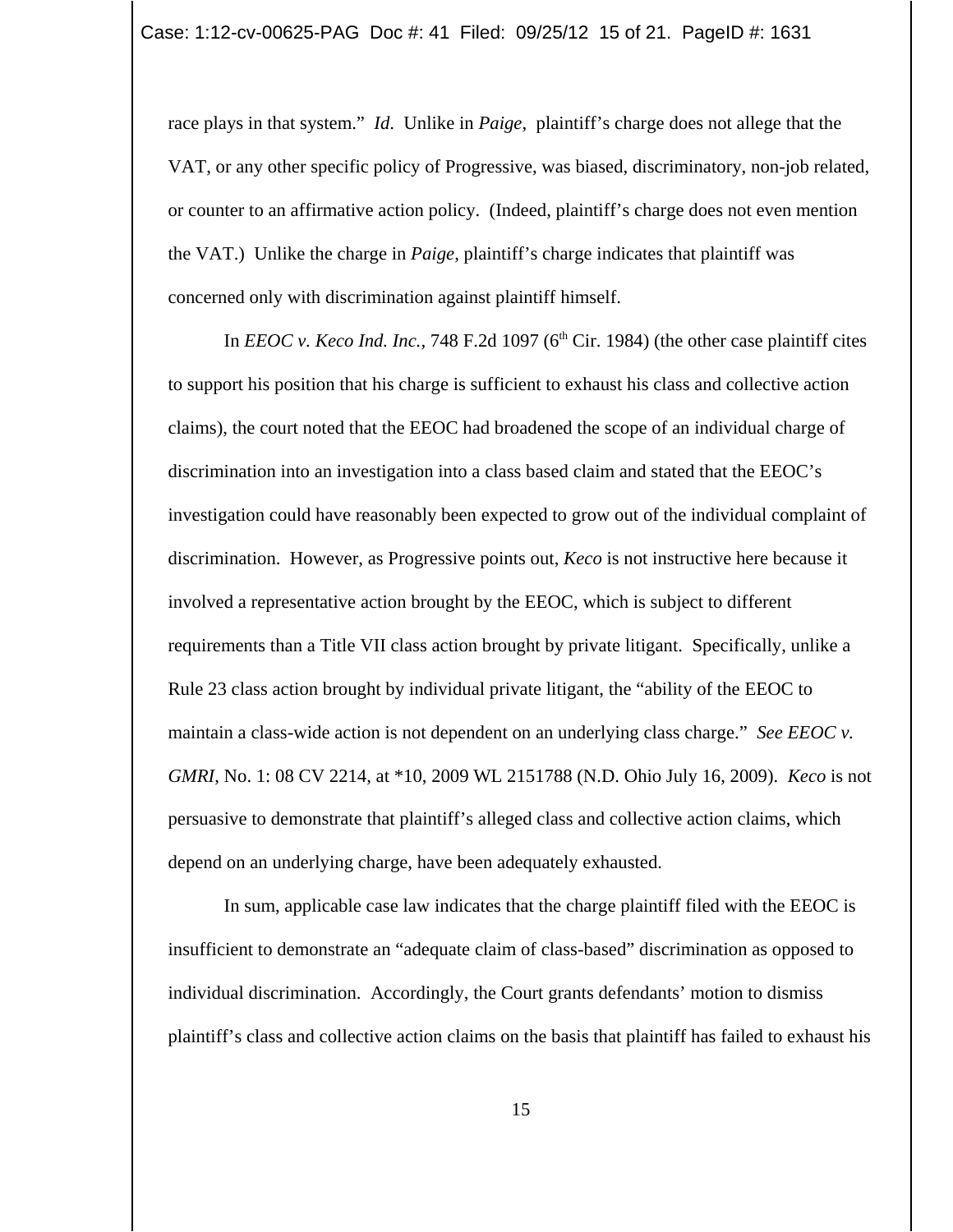race plays in that system." *Id*. Unlike in *Paige*, plaintiff's charge does not allege that the VAT, or any other specific policy of Progressive, was biased, discriminatory, non-job related, or counter to an affirmative action policy. (Indeed, plaintiff's charge does not even mention the VAT.) Unlike the charge in *Paige*, plaintiff's charge indicates that plaintiff was concerned only with discrimination against plaintiff himself.

In *EEOC v. Keco Ind. Inc.,* 748 F.2d 1097 ( $6<sup>th</sup>$  Cir. 1984) (the other case plaintiff cites to support his position that his charge is sufficient to exhaust his class and collective action claims), the court noted that the EEOC had broadened the scope of an individual charge of discrimination into an investigation into a class based claim and stated that the EEOC's investigation could have reasonably been expected to grow out of the individual complaint of discrimination. However, as Progressive points out, *Keco* is not instructive here because it involved a representative action brought by the EEOC, which is subject to different requirements than a Title VII class action brought by private litigant. Specifically, unlike a Rule 23 class action brought by individual private litigant, the "ability of the EEOC to maintain a class-wide action is not dependent on an underlying class charge." *See EEOC v. GMRI*, No. 1: 08 CV 2214, at \*10, 2009 WL 2151788 (N.D. Ohio July 16, 2009). *Keco* is not persuasive to demonstrate that plaintiff's alleged class and collective action claims, which depend on an underlying charge, have been adequately exhausted.

In sum, applicable case law indicates that the charge plaintiff filed with the EEOC is insufficient to demonstrate an "adequate claim of class-based" discrimination as opposed to individual discrimination. Accordingly, the Court grants defendants' motion to dismiss plaintiff's class and collective action claims on the basis that plaintiff has failed to exhaust his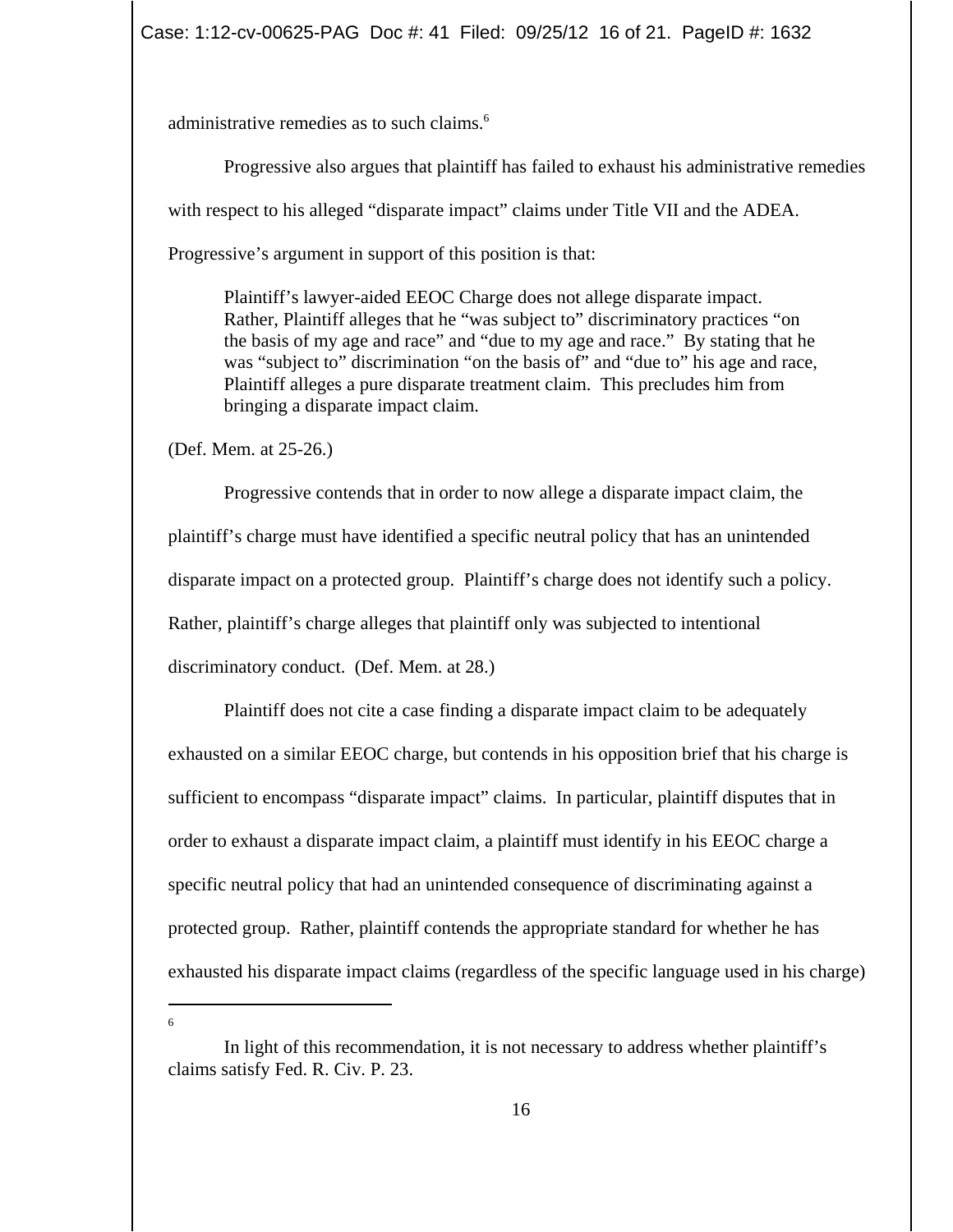administrative remedies as to such claims.<sup>6</sup>

Progressive also argues that plaintiff has failed to exhaust his administrative remedies with respect to his alleged "disparate impact" claims under Title VII and the ADEA. Progressive's argument in support of this position is that:

Plaintiff's lawyer-aided EEOC Charge does not allege disparate impact. Rather, Plaintiff alleges that he "was subject to" discriminatory practices "on the basis of my age and race" and "due to my age and race." By stating that he was "subject to" discrimination "on the basis of" and "due to" his age and race, Plaintiff alleges a pure disparate treatment claim. This precludes him from bringing a disparate impact claim.

(Def. Mem. at 25-26.)

Progressive contends that in order to now allege a disparate impact claim, the plaintiff's charge must have identified a specific neutral policy that has an unintended disparate impact on a protected group. Plaintiff's charge does not identify such a policy. Rather, plaintiff's charge alleges that plaintiff only was subjected to intentional discriminatory conduct. (Def. Mem. at 28.)

Plaintiff does not cite a case finding a disparate impact claim to be adequately exhausted on a similar EEOC charge, but contends in his opposition brief that his charge is sufficient to encompass "disparate impact" claims. In particular, plaintiff disputes that in order to exhaust a disparate impact claim, a plaintiff must identify in his EEOC charge a specific neutral policy that had an unintended consequence of discriminating against a protected group. Rather, plaintiff contends the appropriate standard for whether he has exhausted his disparate impact claims (regardless of the specific language used in his charge)

6

In light of this recommendation, it is not necessary to address whether plaintiff's claims satisfy Fed. R. Civ. P. 23.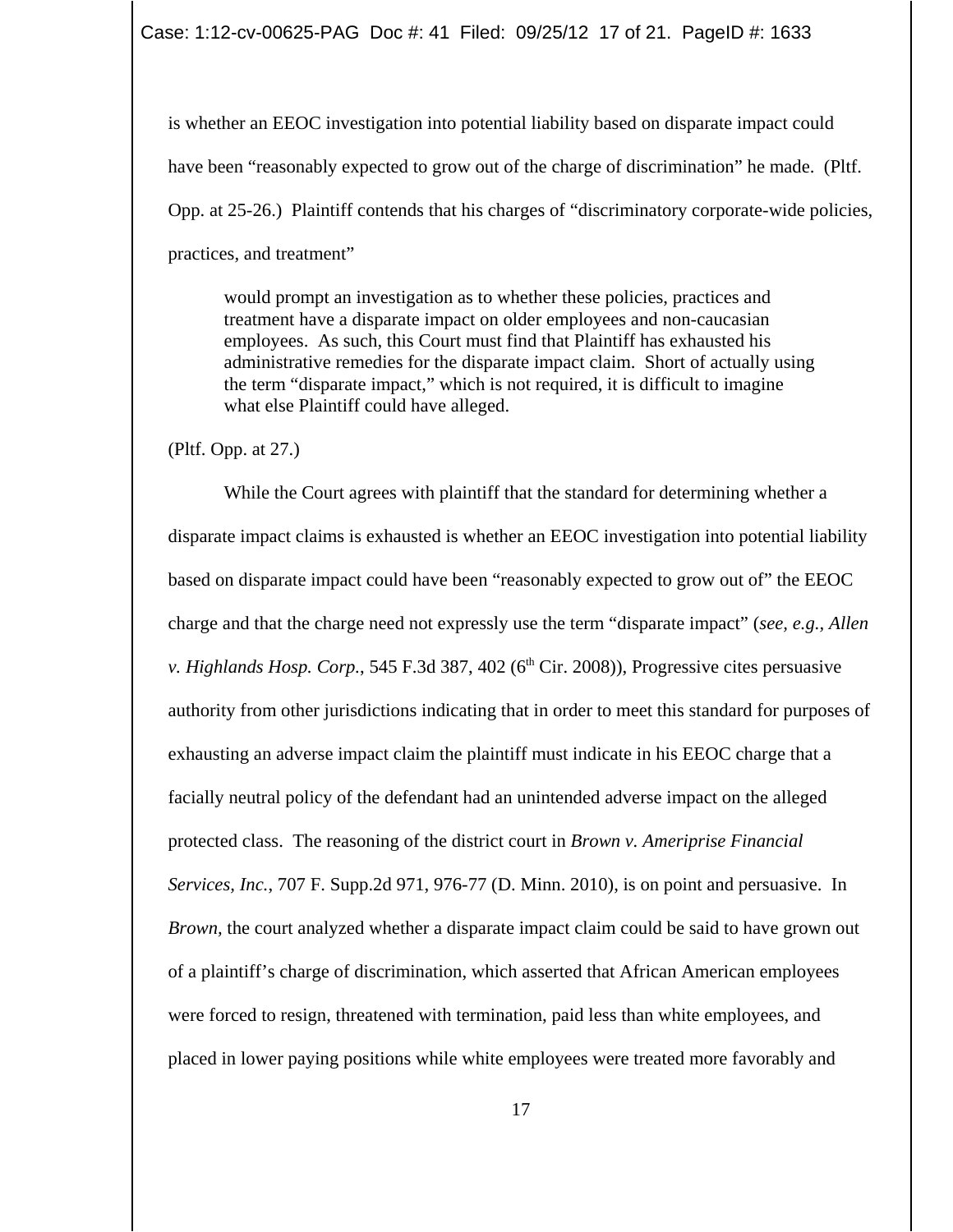Case: 1:12-cv-00625-PAG Doc #: 41 Filed: 09/25/12 17 of 21. PageID #: 1633

is whether an EEOC investigation into potential liability based on disparate impact could have been "reasonably expected to grow out of the charge of discrimination" he made. (Pltf. Opp. at 25-26.) Plaintiff contends that his charges of "discriminatory corporate-wide policies, practices, and treatment"

would prompt an investigation as to whether these policies, practices and treatment have a disparate impact on older employees and non-caucasian employees. As such, this Court must find that Plaintiff has exhausted his administrative remedies for the disparate impact claim. Short of actually using the term "disparate impact," which is not required, it is difficult to imagine what else Plaintiff could have alleged.

(Pltf. Opp. at 27.)

While the Court agrees with plaintiff that the standard for determining whether a disparate impact claims is exhausted is whether an EEOC investigation into potential liability based on disparate impact could have been "reasonably expected to grow out of" the EEOC charge and that the charge need not expressly use the term "disparate impact" (*see, e.g., Allen v. Highlands Hosp. Corp.*, 545 F.3d 387, 402 ( $6<sup>th</sup>$  Cir. 2008)), Progressive cites persuasive authority from other jurisdictions indicating that in order to meet this standard for purposes of exhausting an adverse impact claim the plaintiff must indicate in his EEOC charge that a facially neutral policy of the defendant had an unintended adverse impact on the alleged protected class. The reasoning of the district court in *Brown v. Ameriprise Financial Services, Inc.*, 707 F. Supp.2d 971, 976-77 (D. Minn. 2010), is on point and persuasive. In *Brown*, the court analyzed whether a disparate impact claim could be said to have grown out of a plaintiff's charge of discrimination, which asserted that African American employees were forced to resign, threatened with termination, paid less than white employees, and placed in lower paying positions while white employees were treated more favorably and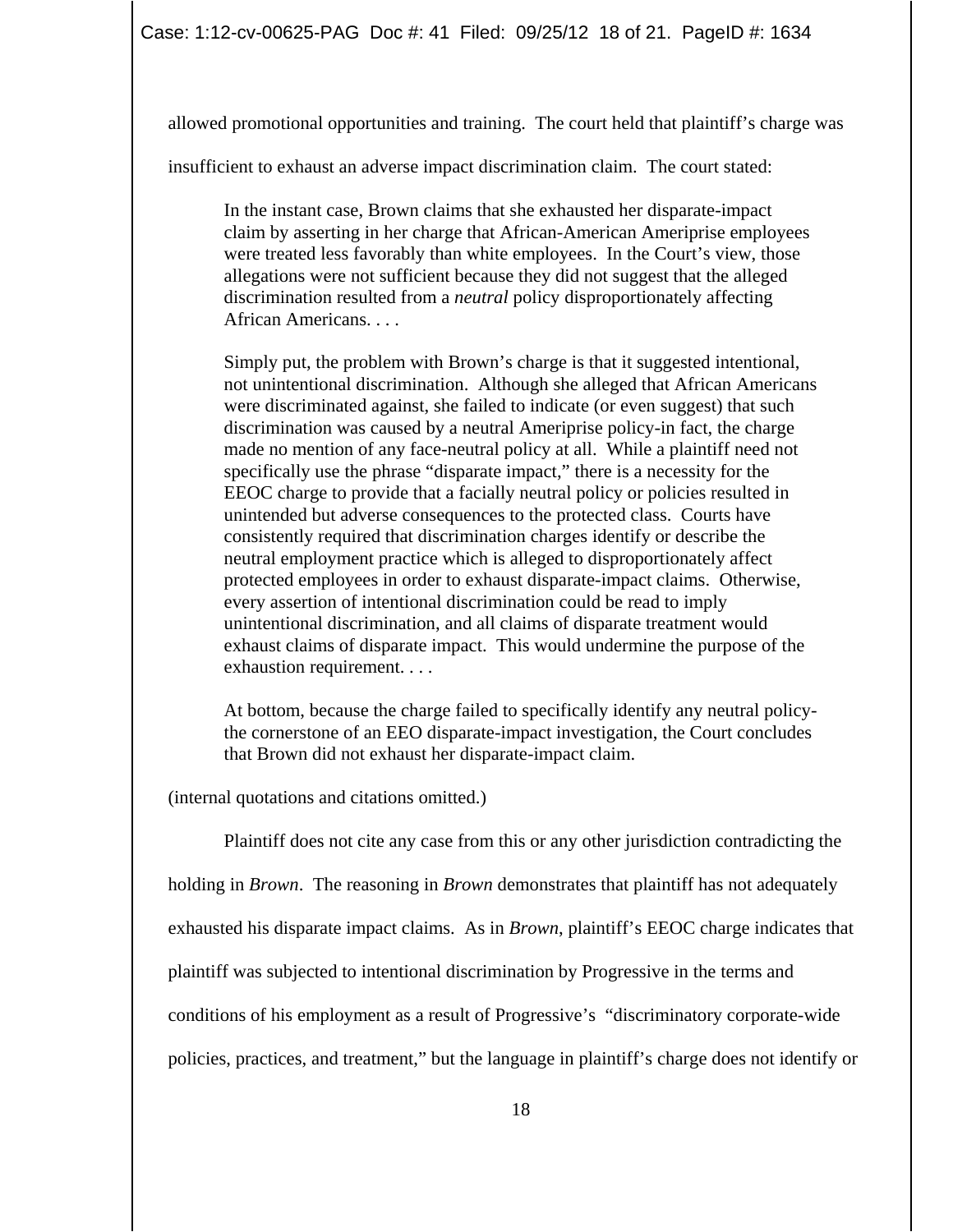allowed promotional opportunities and training. The court held that plaintiff's charge was

insufficient to exhaust an adverse impact discrimination claim. The court stated:

In the instant case, Brown claims that she exhausted her disparate-impact claim by asserting in her charge that African-American Ameriprise employees were treated less favorably than white employees. In the Court's view, those allegations were not sufficient because they did not suggest that the alleged discrimination resulted from a *neutral* policy disproportionately affecting African Americans. . . .

Simply put, the problem with Brown's charge is that it suggested intentional, not unintentional discrimination. Although she alleged that African Americans were discriminated against, she failed to indicate (or even suggest) that such discrimination was caused by a neutral Ameriprise policy-in fact, the charge made no mention of any face-neutral policy at all. While a plaintiff need not specifically use the phrase "disparate impact," there is a necessity for the EEOC charge to provide that a facially neutral policy or policies resulted in unintended but adverse consequences to the protected class. Courts have consistently required that discrimination charges identify or describe the neutral employment practice which is alleged to disproportionately affect protected employees in order to exhaust disparate-impact claims. Otherwise, every assertion of intentional discrimination could be read to imply unintentional discrimination, and all claims of disparate treatment would exhaust claims of disparate impact. This would undermine the purpose of the exhaustion requirement. . . .

At bottom, because the charge failed to specifically identify any neutral policythe cornerstone of an EEO disparate-impact investigation, the Court concludes that Brown did not exhaust her disparate-impact claim.

(internal quotations and citations omitted.)

Plaintiff does not cite any case from this or any other jurisdiction contradicting the

holding in *Brown*. The reasoning in *Brown* demonstrates that plaintiff has not adequately

exhausted his disparate impact claims. As in *Brown*, plaintiff's EEOC charge indicates that

plaintiff was subjected to intentional discrimination by Progressive in the terms and

conditions of his employment as a result of Progressive's "discriminatory corporate-wide

policies, practices, and treatment," but the language in plaintiff's charge does not identify or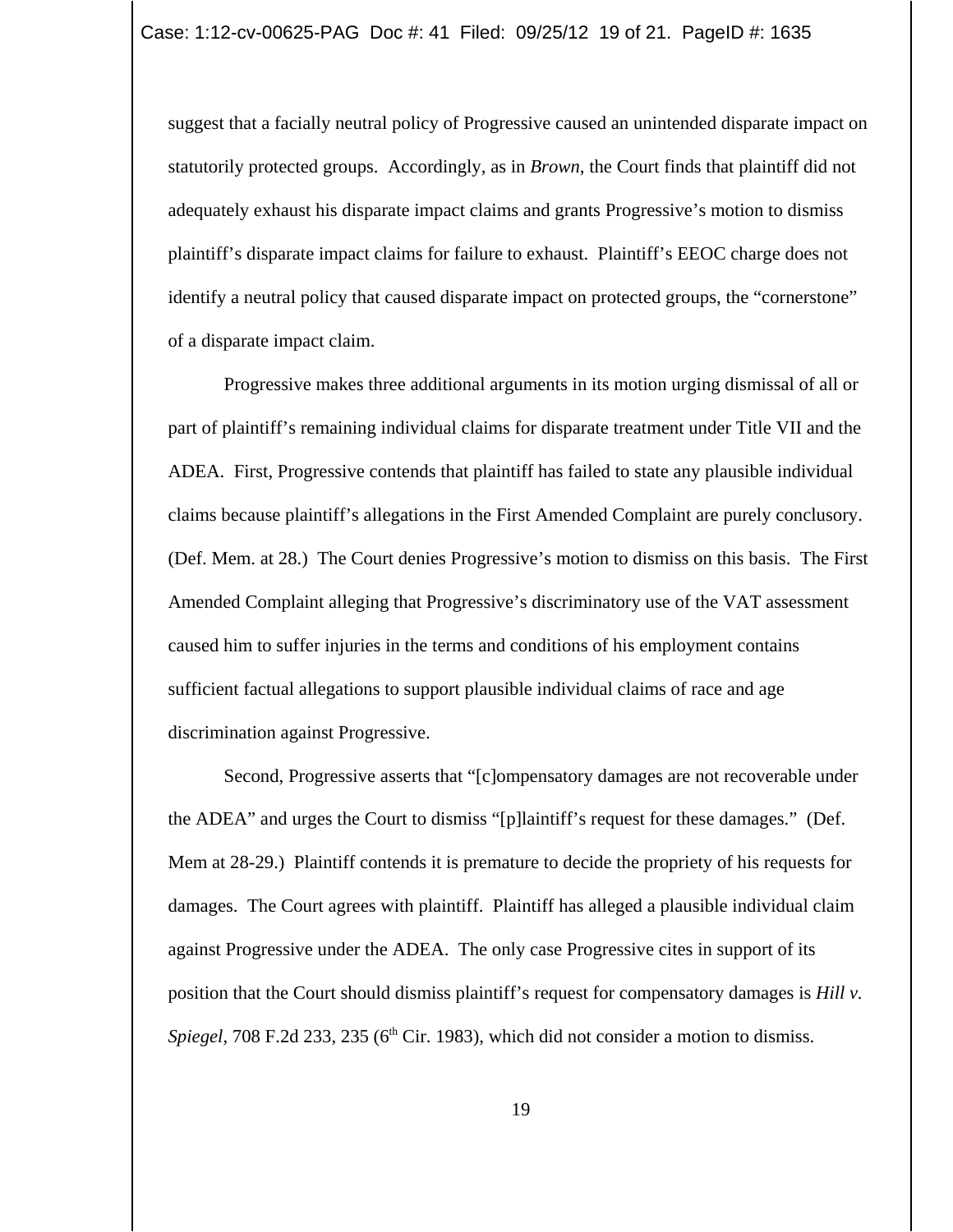suggest that a facially neutral policy of Progressive caused an unintended disparate impact on statutorily protected groups. Accordingly, as in *Brown*, the Court finds that plaintiff did not adequately exhaust his disparate impact claims and grants Progressive's motion to dismiss plaintiff's disparate impact claims for failure to exhaust. Plaintiff's EEOC charge does not identify a neutral policy that caused disparate impact on protected groups, the "cornerstone" of a disparate impact claim.

Progressive makes three additional arguments in its motion urging dismissal of all or part of plaintiff's remaining individual claims for disparate treatment under Title VII and the ADEA. First, Progressive contends that plaintiff has failed to state any plausible individual claims because plaintiff's allegations in the First Amended Complaint are purely conclusory. (Def. Mem. at 28.) The Court denies Progressive's motion to dismiss on this basis. The First Amended Complaint alleging that Progressive's discriminatory use of the VAT assessment caused him to suffer injuries in the terms and conditions of his employment contains sufficient factual allegations to support plausible individual claims of race and age discrimination against Progressive.

Second, Progressive asserts that "[c]ompensatory damages are not recoverable under the ADEA" and urges the Court to dismiss "[p]laintiff's request for these damages." (Def. Mem at 28-29.) Plaintiff contends it is premature to decide the propriety of his requests for damages. The Court agrees with plaintiff. Plaintiff has alleged a plausible individual claim against Progressive under the ADEA. The only case Progressive cites in support of its position that the Court should dismiss plaintiff's request for compensatory damages is *Hill v. Spiegel*, 708 F.2d 233, 235 (6<sup>th</sup> Cir. 1983), which did not consider a motion to dismiss.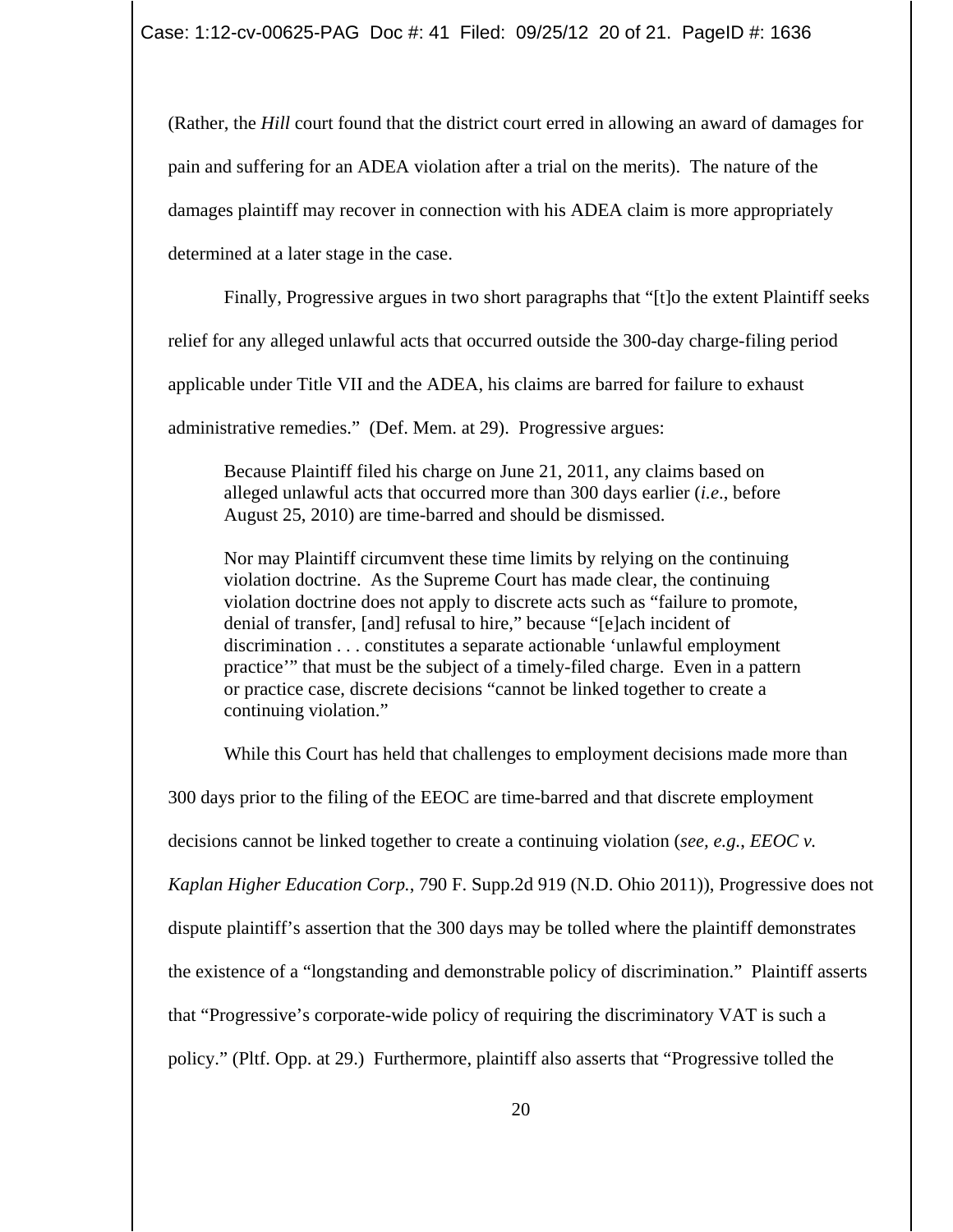(Rather, the *Hill* court found that the district court erred in allowing an award of damages for pain and suffering for an ADEA violation after a trial on the merits). The nature of the damages plaintiff may recover in connection with his ADEA claim is more appropriately determined at a later stage in the case.

Finally, Progressive argues in two short paragraphs that "[t]o the extent Plaintiff seeks

relief for any alleged unlawful acts that occurred outside the 300-day charge-filing period

applicable under Title VII and the ADEA, his claims are barred for failure to exhaust

administrative remedies." (Def. Mem. at 29). Progressive argues:

Because Plaintiff filed his charge on June 21, 2011, any claims based on alleged unlawful acts that occurred more than 300 days earlier (*i.e*., before August 25, 2010) are time-barred and should be dismissed.

Nor may Plaintiff circumvent these time limits by relying on the continuing violation doctrine. As the Supreme Court has made clear, the continuing violation doctrine does not apply to discrete acts such as "failure to promote, denial of transfer, [and] refusal to hire," because "[e]ach incident of discrimination . . . constitutes a separate actionable 'unlawful employment practice'" that must be the subject of a timely-filed charge. Even in a pattern or practice case, discrete decisions "cannot be linked together to create a continuing violation."

While this Court has held that challenges to employment decisions made more than

300 days prior to the filing of the EEOC are time-barred and that discrete employment

decisions cannot be linked together to create a continuing violation (*see, e.g.*, *EEOC v.*

*Kaplan Higher Education Corp.*, 790 F. Supp.2d 919 (N.D. Ohio 2011)), Progressive does not

dispute plaintiff's assertion that the 300 days may be tolled where the plaintiff demonstrates

the existence of a "longstanding and demonstrable policy of discrimination." Plaintiff asserts

that "Progressive's corporate-wide policy of requiring the discriminatory VAT is such a

policy." (Pltf. Opp. at 29.) Furthermore, plaintiff also asserts that "Progressive tolled the